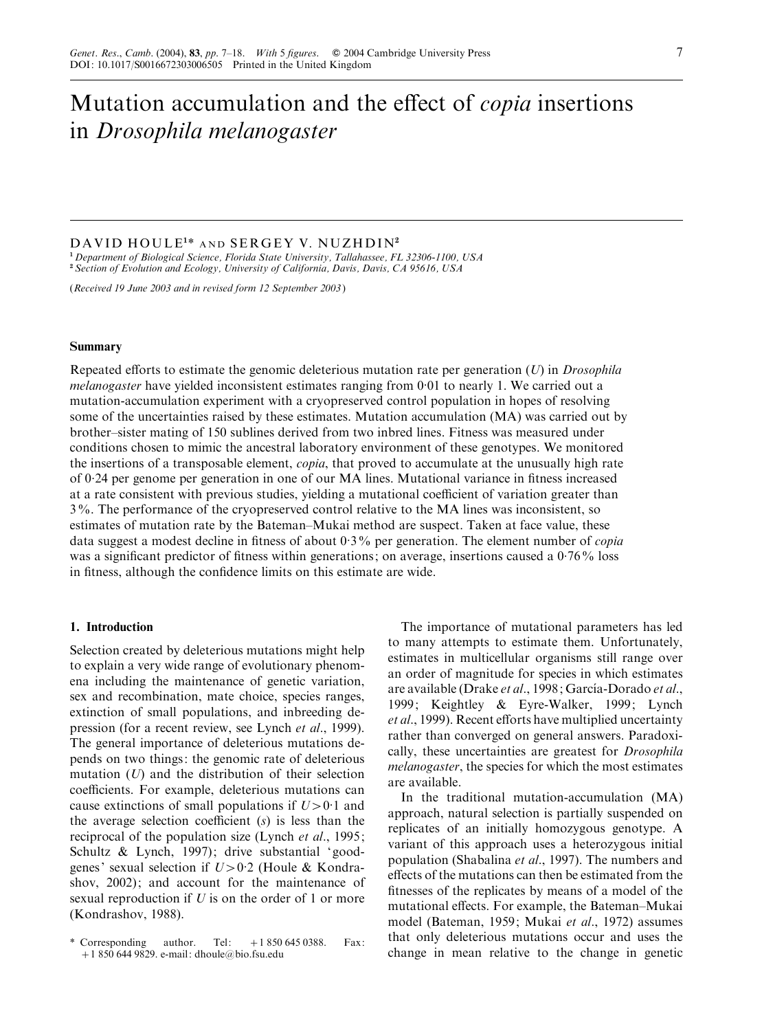# Mutation accumulation and the effect of *copia* insertions in Drosophila melanogaster

## DAVID HOULE<sup>1</sup> \* AND SERGEY V. NUZHDIN<sup>2</sup>

<sup>1</sup> Department of Biological Science, Florida State University, Tallahassee, FL 32306-1100, USA <sup>2</sup> Section of Evolution and Ecology, University of California, Davis, Davis, CA 95616, USA

(Received 19 June 2003 and in revised form 12 September 2003)

#### Summary

Repeated efforts to estimate the genomic deleterious mutation rate per generation  $(U)$  in *Drosophila* melanogaster have yielded inconsistent estimates ranging from 0.01 to nearly 1. We carried out a mutation-accumulation experiment with a cryopreserved control population in hopes of resolving some of the uncertainties raised by these estimates. Mutation accumulation (MA) was carried out by brother–sister mating of 150 sublines derived from two inbred lines. Fitness was measured under conditions chosen to mimic the ancestral laboratory environment of these genotypes. We monitored the insertions of a transposable element, copia, that proved to accumulate at the unusually high rate of 0. 24 per genome per generation in one of our MA lines. Mutational variance in fitness increased at a rate consistent with previous studies, yielding a mutational coefficient of variation greater than 3%. The performance of the cryopreserved control relative to the MA lines was inconsistent, so estimates of mutation rate by the Bateman–Mukai method are suspect. Taken at face value, these data suggest a modest decline in fitness of about 0.3% per generation. The element number of *copia* was a significant predictor of fitness within generations; on average, insertions caused a 0.76% loss in fitness, although the confidence limits on this estimate are wide.

## 1. Introduction

Selection created by deleterious mutations might help to explain a very wide range of evolutionary phenomena including the maintenance of genetic variation, sex and recombination, mate choice, species ranges, extinction of small populations, and inbreeding depression (for a recent review, see Lynch et al., 1999). The general importance of deleterious mutations depends on two things: the genomic rate of deleterious mutation  $(U)$  and the distribution of their selection coefficients. For example, deleterious mutations can cause extinctions of small populations if  $U>0.1$  and the average selection coefficient  $(s)$  is less than the reciprocal of the population size (Lynch et al., 1995; Schultz & Lynch, 1997); drive substantial 'goodgenes' sexual selection if  $U>0.2$  (Houle & Kondrashov, 2002); and account for the maintenance of sexual reproduction if  $U$  is on the order of 1 or more (Kondrashov, 1988).

The importance of mutational parameters has led to many attempts to estimate them. Unfortunately, estimates in multicellular organisms still range over an order of magnitude for species in which estimates are available (Drake et al., 1998; García-Dorado et al., 1999; Keightley & Eyre-Walker, 1999; Lynch et al., 1999). Recent efforts have multiplied uncertainty rather than converged on general answers. Paradoxically, these uncertainties are greatest for Drosophila melanogaster, the species for which the most estimates are available.

In the traditional mutation-accumulation (MA) approach, natural selection is partially suspended on replicates of an initially homozygous genotype. A variant of this approach uses a heterozygous initial population (Shabalina et al., 1997). The numbers and effects of the mutations can then be estimated from the fitnesses of the replicates by means of a model of the mutational effects. For example, the Bateman–Mukai model (Bateman, 1959; Mukai et al., 1972) assumes that only deleterious mutations occur and uses the \* Corresponding author. Tel:  $+1850\,645\,0388$ . Fax: that only deleterious mutations occur and uses the  $+1850\,644\,9829$ . e-mail: dhoule@bio.fsu.edu change in mean relative to the change in genetic

<sup>+</sup>1 850 644 9829. e-mail: dhoule@bio.fsu.edu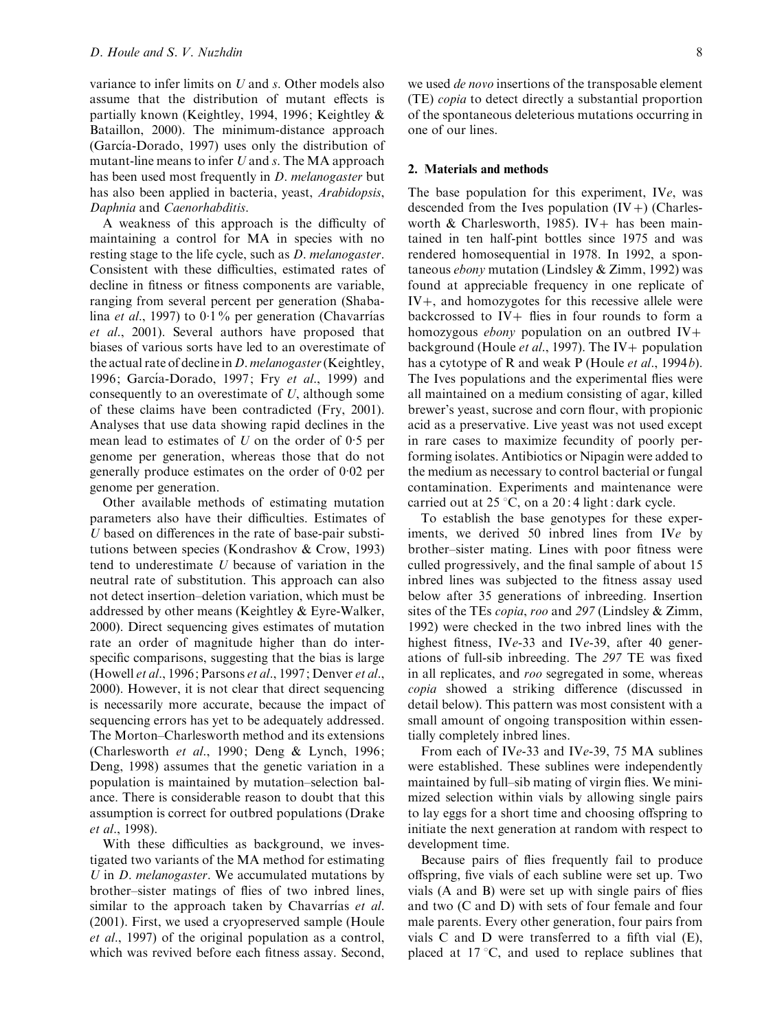variance to infer limits on U and s. Other models also assume that the distribution of mutant effects is partially known (Keightley, 1994, 1996; Keightley & Bataillon, 2000). The minimum-distance approach (García-Dorado, 1997) uses only the distribution of mutant-line means to infer  $U$  and  $s$ . The MA approach has been used most frequently in D. melanogaster but has also been applied in bacteria, yeast, Arabidopsis, Daphnia and Caenorhabditis.

A weakness of this approach is the difficulty of maintaining a control for MA in species with no resting stage to the life cycle, such as D. melanogaster. Consistent with these difficulties, estimated rates of decline in fitness or fitness components are variable, ranging from several percent per generation (Shabalina et al., 1997) to  $0.\overline{1\%}$  per generation (Chavarrías et al., 2001). Several authors have proposed that biases of various sorts have led to an overestimate of the actual rate of decline in D. melanogaster (Keightley, 1996; García-Dorado, 1997; Fry et al., 1999) and consequently to an overestimate of U, although some of these claims have been contradicted (Fry, 2001). Analyses that use data showing rapid declines in the mean lead to estimates of  $U$  on the order of 0.5 per genome per generation, whereas those that do not generally produce estimates on the order of 0. 02 per genome per generation.

Other available methods of estimating mutation parameters also have their difficulties. Estimates of U based on differences in the rate of base-pair substitutions between species (Kondrashov & Crow, 1993) tend to underestimate U because of variation in the neutral rate of substitution. This approach can also not detect insertion–deletion variation, which must be addressed by other means (Keightley & Eyre-Walker, 2000). Direct sequencing gives estimates of mutation rate an order of magnitude higher than do interspecific comparisons, suggesting that the bias is large (Howell et al., 1996; Parsons et al., 1997; Denver et al., 2000). However, it is not clear that direct sequencing is necessarily more accurate, because the impact of sequencing errors has yet to be adequately addressed. The Morton–Charlesworth method and its extensions (Charlesworth et al., 1990; Deng & Lynch, 1996; Deng, 1998) assumes that the genetic variation in a population is maintained by mutation–selection balance. There is considerable reason to doubt that this assumption is correct for outbred populations (Drake et al., 1998).

With these difficulties as background, we investigated two variants of the MA method for estimating U in D. *melanogaster*. We accumulated mutations by brother–sister matings of flies of two inbred lines, similar to the approach taken by Chavarrías et al. (2001). First, we used a cryopreserved sample (Houle et al., 1997) of the original population as a control, which was revived before each fitness assay. Second, we used *de novo* insertions of the transposable element (TE) copia to detect directly a substantial proportion of the spontaneous deleterious mutations occurring in one of our lines.

## 2. Materials and methods

The base population for this experiment, IVe, was descended from the Ives population  $(IV+)$  (Charlesworth  $\&$  Charlesworth, 1985). IV + has been maintained in ten half-pint bottles since 1975 and was rendered homosequential in 1978. In 1992, a spontaneous ebony mutation (Lindsley & Zimm, 1992) was found at appreciable frequency in one replicate of IV+, and homozygotes for this recessive allele were backcrossed to  $IV+$  flies in four rounds to form a homozygous *ebony* population on an outbred IV+ background (Houle *et al.*, 1997). The IV + population has a cytotype of R and weak P (Houle *et al.*, 1994*b*). The Ives populations and the experimental flies were all maintained on a medium consisting of agar, killed brewer's yeast, sucrose and corn flour, with propionic acid as a preservative. Live yeast was not used except in rare cases to maximize fecundity of poorly performing isolates. Antibiotics or Nipagin were added to the medium as necessary to control bacterial or fungal contamination. Experiments and maintenance were carried out at  $25^{\circ}$ C, on a  $20:4$  light: dark cycle.

To establish the base genotypes for these experiments, we derived 50 inbred lines from IVe by brother–sister mating. Lines with poor fitness were culled progressively, and the final sample of about 15 inbred lines was subjected to the fitness assay used below after 35 generations of inbreeding. Insertion sites of the TEs *copia, roo* and 297 (Lindsley & Zimm, 1992) were checked in the two inbred lines with the highest fitness, IVe-33 and IVe-39, after 40 generations of full-sib inbreeding. The 297 TE was fixed in all replicates, and roo segregated in some, whereas copia showed a striking difference (discussed in detail below). This pattern was most consistent with a small amount of ongoing transposition within essentially completely inbred lines.

From each of IVe-33 and IVe-39, 75 MA sublines were established. These sublines were independently maintained by full–sib mating of virgin flies. We minimized selection within vials by allowing single pairs to lay eggs for a short time and choosing offspring to initiate the next generation at random with respect to development time.

Because pairs of flies frequently fail to produce offspring, five vials of each subline were set up. Two vials (A and B) were set up with single pairs of flies and two (C and D) with sets of four female and four male parents. Every other generation, four pairs from vials C and D were transferred to a fifth vial (E), placed at  $17^{\circ}$ C, and used to replace sublines that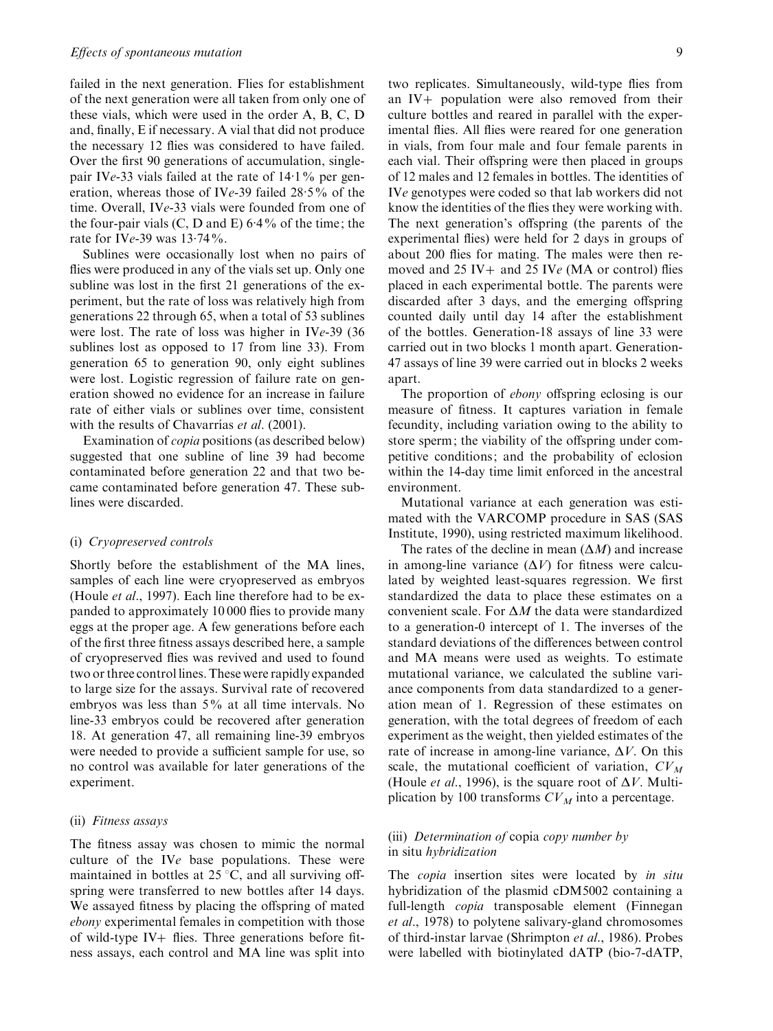failed in the next generation. Flies for establishment of the next generation were all taken from only one of these vials, which were used in the order A, B, C, D and, finally, E if necessary. A vial that did not produce the necessary 12 flies was considered to have failed. Over the first 90 generations of accumulation, singlepair IVe-33 vials failed at the rate of 14.1% per generation, whereas those of IVe-39 failed  $28.5\%$  of the time. Overall, IVe-33 vials were founded from one of the four-pair vials  $(C, D \text{ and } E)$  6.4% of the time; the rate for IVe-39 was  $13.74\%$ .

Sublines were occasionally lost when no pairs of flies were produced in any of the vials set up. Only one subline was lost in the first 21 generations of the experiment, but the rate of loss was relatively high from generations 22 through 65, when a total of 53 sublines were lost. The rate of loss was higher in IVe-39 (36 sublines lost as opposed to 17 from line 33). From generation 65 to generation 90, only eight sublines were lost. Logistic regression of failure rate on generation showed no evidence for an increase in failure rate of either vials or sublines over time, consistent with the results of Chavarrías et al. (2001).

Examination of copia positions (as described below) suggested that one subline of line 39 had become contaminated before generation 22 and that two became contaminated before generation 47. These sublines were discarded.

## (i) Cryopreserved controls

Shortly before the establishment of the MA lines, samples of each line were cryopreserved as embryos (Houle et al., 1997). Each line therefore had to be expanded to approximately 10 000 flies to provide many eggs at the proper age. A few generations before each of the first three fitness assays described here, a sample of cryopreserved flies was revived and used to found two or three control lines. These were rapidly expanded to large size for the assays. Survival rate of recovered embryos was less than 5% at all time intervals. No line-33 embryos could be recovered after generation 18. At generation 47, all remaining line-39 embryos were needed to provide a sufficient sample for use, so no control was available for later generations of the experiment.

#### (ii) Fitness assays

The fitness assay was chosen to mimic the normal culture of the IVe base populations. These were maintained in bottles at  $25^{\circ}$ C, and all surviving offspring were transferred to new bottles after 14 days. We assayed fitness by placing the offspring of mated ebony experimental females in competition with those of wild-type IV+ flies. Three generations before fitness assays, each control and MA line was split into

two replicates. Simultaneously, wild-type flies from an IV+ population were also removed from their culture bottles and reared in parallel with the experimental flies. All flies were reared for one generation in vials, from four male and four female parents in each vial. Their offspring were then placed in groups of 12 males and 12 females in bottles. The identities of IVe genotypes were coded so that lab workers did not know the identities of the flies they were working with. The next generation's offspring (the parents of the experimental flies) were held for 2 days in groups of about 200 flies for mating. The males were then removed and  $25 \text{ IV}$  and  $25 \text{ IV}$ e (MA or control) flies placed in each experimental bottle. The parents were discarded after 3 days, and the emerging offspring counted daily until day 14 after the establishment of the bottles. Generation-18 assays of line 33 were carried out in two blocks 1 month apart. Generation-47 assays of line 39 were carried out in blocks 2 weeks apart.

The proportion of *ebony* offspring eclosing is our measure of fitness. It captures variation in female fecundity, including variation owing to the ability to store sperm; the viability of the offspring under competitive conditions; and the probability of eclosion within the 14-day time limit enforced in the ancestral environment.

Mutational variance at each generation was estimated with the VARCOMP procedure in SAS (SAS Institute, 1990), using restricted maximum likelihood.

The rates of the decline in mean  $(\Delta M)$  and increase in among-line variance  $(\Delta V)$  for fitness were calculated by weighted least-squares regression. We first standardized the data to place these estimates on a convenient scale. For  $\Delta M$  the data were standardized to a generation-0 intercept of 1. The inverses of the standard deviations of the differences between control and MA means were used as weights. To estimate mutational variance, we calculated the subline variance components from data standardized to a generation mean of 1. Regression of these estimates on generation, with the total degrees of freedom of each experiment as the weight, then yielded estimates of the rate of increase in among-line variance,  $\Delta V$ . On this scale, the mutational coefficient of variation,  $CV<sub>M</sub>$ (Houle *et al.*, 1996), is the square root of  $\Delta V$ . Multiplication by 100 transforms  $CV<sub>M</sub>$  into a percentage.

# (iii) Determination of copia copy number by in situ hybridization

The *copia* insertion sites were located by *in situ* hybridization of the plasmid cDM5002 containing a full-length copia transposable element (Finnegan et al., 1978) to polytene salivary-gland chromosomes of third-instar larvae (Shrimpton et al., 1986). Probes were labelled with biotinylated dATP (bio-7-dATP,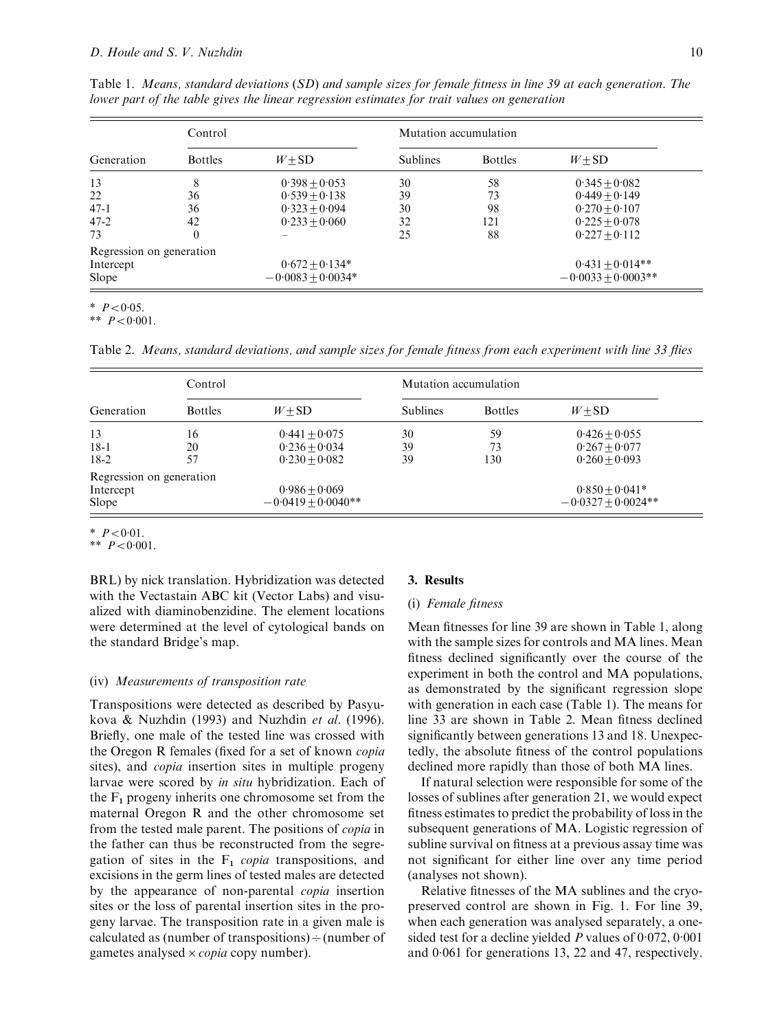|                          | Control        |                     | Mutation accumulation |                |                      |
|--------------------------|----------------|---------------------|-----------------------|----------------|----------------------|
| Generation               | <b>Bottles</b> | $W+SD$              | <b>Sublines</b>       | <b>Bottles</b> | $W+SD$               |
| 13                       | 8              | $0.398 + 0.053$     | 30                    | 58             | $0.345 + 0.082$      |
| 22                       | 36             | $0.539 + 0.138$     | 39                    | 73             | $0.449 + 0.149$      |
| $47-1$                   | 36             | $0.323 + 0.094$     | 30                    | 98             | $0.270 + 0.107$      |
| $47 - 2$                 | 42             | $0.233 + 0.060$     | 32                    | 121            | $0.225 + 0.078$      |
| 73                       | $\theta$       |                     | 25                    | 88             | $0.227 + 0.112$      |
| Regression on generation |                |                     |                       |                |                      |
| Intercept                |                | $0.672 + 0.134*$    |                       |                | $0.431 + 0.014**$    |
| Slope                    |                | $-0.0083 + 0.0034*$ |                       |                | $-0.0033 + 0.0003**$ |

Table 1. Means, standard deviations (SD) and sample sizes for female fitness in line 39 at each generation. The lower part of the table gives the linear regression estimates for trait values on generation

\*  $P < 0.05$ .

\*\*  $P < 0.001$ .

Table 2. Means, standard deviations, and sample sizes for female fitness from each experiment with line 33 flies

|                          | Control        |                      | Mutation accumulation |                |                      |
|--------------------------|----------------|----------------------|-----------------------|----------------|----------------------|
| Generation               | <b>Bottles</b> | $W+SD$               | <b>Sublines</b>       | <b>Bottles</b> | $W+SD$               |
| 13                       | 16             | $0.441 + 0.075$      | 30                    | 59             | $0.426 + 0.055$      |
| $18-1$                   | 20             | $0.236 + 0.034$      | 39                    | 73             | $0.267 + 0.077$      |
| $18-2$                   | 57             | $0.230 + 0.082$      | 39                    | 130            | $0.260 + 0.093$      |
| Regression on generation |                |                      |                       |                |                      |
| Intercept                |                | $0.986 + 0.069$      |                       |                | $0.850 + 0.041*$     |
| Slope                    |                | $-0.0419 + 0.0040**$ |                       |                | $-0.0327 + 0.0024**$ |

\*  $P < 0.01$ .

\*\*  $P < 0.001$ .

BRL) by nick translation. Hybridization was detected with the Vectastain ABC kit (Vector Labs) and visualized with diaminobenzidine. The element locations were determined at the level of cytological bands on the standard Bridge's map.

#### (iv) Measurements of transposition rate

Transpositions were detected as described by Pasyukova & Nuzhdin (1993) and Nuzhdin et al. (1996). Briefly, one male of the tested line was crossed with the Oregon R females (fixed for a set of known copia sites), and *copia* insertion sites in multiple progeny larvae were scored by in situ hybridization. Each of the  $F_1$  progeny inherits one chromosome set from the maternal Oregon R and the other chromosome set from the tested male parent. The positions of copia in the father can thus be reconstructed from the segregation of sites in the  $F_1$  copia transpositions, and excisions in the germ lines of tested males are detected by the appearance of non-parental copia insertion sites or the loss of parental insertion sites in the progeny larvae. The transposition rate in a given male is calculated as (number of transpositions)  $\div$  (number of gametes analysed  $\times copia$  copy number).

## 3. Results

## (i) Female fitness

Mean fitnesses for line 39 are shown in Table 1, along with the sample sizes for controls and MA lines. Mean fitness declined significantly over the course of the experiment in both the control and MA populations, as demonstrated by the significant regression slope with generation in each case (Table 1). The means for line 33 are shown in Table 2. Mean fitness declined significantly between generations 13 and 18. Unexpectedly, the absolute fitness of the control populations declined more rapidly than those of both MA lines.

If natural selection were responsible for some of the losses of sublines after generation 21, we would expect fitness estimates to predict the probability of loss in the subsequent generations of MA. Logistic regression of subline survival on fitness at a previous assay time was not significant for either line over any time period (analyses not shown).

Relative fitnesses of the MA sublines and the cryopreserved control are shown in Fig. 1. For line 39, when each generation was analysed separately, a onesided test for a decline yielded P values of  $0.072$ ,  $0.001$ and 0. 061 for generations 13, 22 and 47, respectively.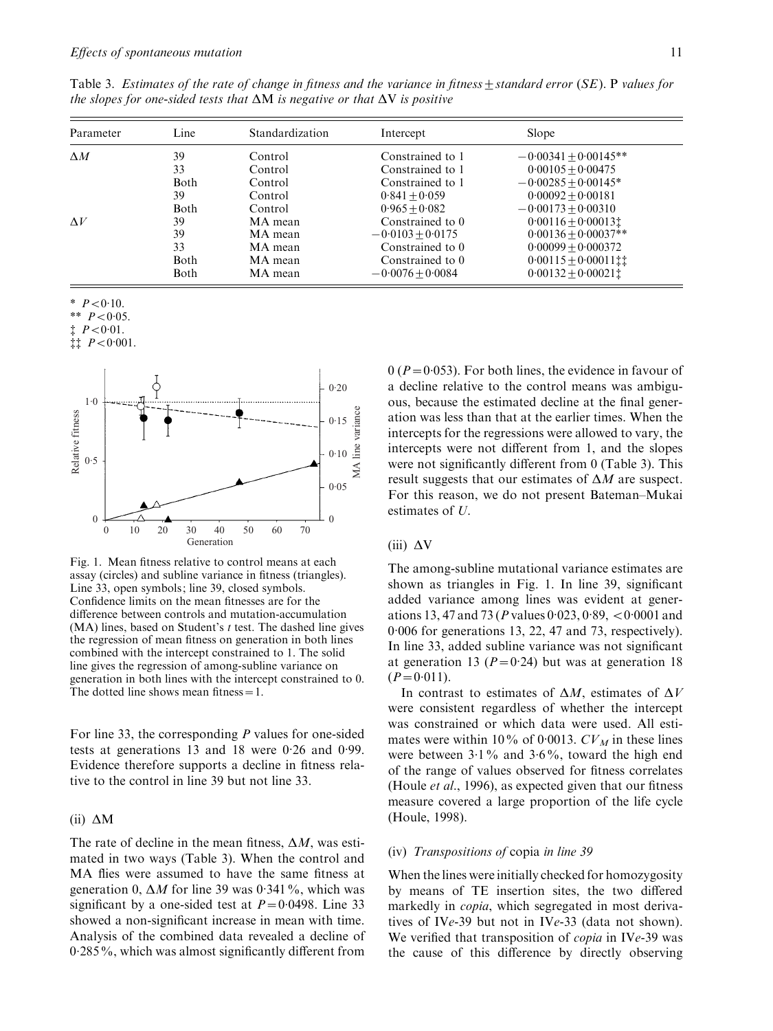Table 3. Estimates of the rate of change in fitness and the variance in fitness + standard error (SE). P values for the slopes for one-sided tests that  $\Delta M$  is negative or that  $\Delta V$  is positive

| Parameter   | Line        | Standardization | Intercept          | Slope                   |
|-------------|-------------|-----------------|--------------------|-------------------------|
| $\Lambda M$ | 39          | Control         | Constrained to 1   | $-0.00341 + 0.00145**$  |
|             | 33          | Control         | Constrained to 1   | $0.00105 + 0.00475$     |
|             | <b>Both</b> | Control         | Constrained to 1   | $-0.00285 + 0.00145*$   |
|             | 39          | Control         | $0.841 + 0.059$    | $0.00092 + 0.00181$     |
|             | <b>Both</b> | Control         | $0.965 + 0.082$    | $-0.00173 + 0.00310$    |
| $\Lambda V$ | 39          | MA mean         | Constrained to 0   | $0.00116 \pm 0.000131$  |
|             | 39          | MA mean         | $-0.0103 + 0.0175$ | $0.00136 + 0.00037**$   |
|             | 33          | MA mean         | Constrained to 0   | $0.00099 + 0.000372$    |
|             | Both        | MA mean         | Constrained to 0   | $0.00115 \pm 0.00011$ : |
|             | Both        | MA mean         | $-0.0076 + 0.0084$ | $0.00132 + 0.000211$    |

<sup>\*</sup>  $P < 0.10$ .

\*\*  $P < 0.05$ .

 $P < 0.01$ .

 $\ddot{=} \dot{P} < 0.001.$ 



Fig. 1. Mean fitness relative to control means at each assay (circles) and subline variance in fitness (triangles). Line 33, open symbols; line 39, closed symbols. Confidence limits on the mean fitnesses are for the difference between controls and mutation-accumulation  $(MA)$  lines, based on Student's  $t$  test. The dashed line gives the regression of mean fitness on generation in both lines combined with the intercept constrained to 1. The solid line gives the regression of among-subline variance on generation in both lines with the intercept constrained to 0. The dotted line shows mean fitness  $=1$ .

For line 33, the corresponding P values for one-sided tests at generations  $13$  and  $18$  were 0.26 and 0.99. Evidence therefore supports a decline in fitness relative to the control in line 39 but not line 33.

# (ii)  $\Delta M$

The rate of decline in the mean fitness,  $\Delta M$ , was estimated in two ways (Table 3). When the control and MA flies were assumed to have the same fitness at generation 0,  $\Delta M$  for line 39 was 0.341%, which was significant by a one-sided test at  $P = 0.0498$ . Line 33 showed a non-significant increase in mean with time. Analysis of the combined data revealed a decline of 0.285%, which was almost significantly different from

 $0 (P = 0.053)$ . For both lines, the evidence in favour of a decline relative to the control means was ambiguous, because the estimated decline at the final generation was less than that at the earlier times. When the intercepts for the regressions were allowed to vary, the intercepts were not different from 1, and the slopes were not significantly different from 0 (Table 3). This result suggests that our estimates of  $\Delta M$  are suspect. For this reason, we do not present Bateman–Mukai estimates of U.

# (iii)  $\Delta V$

The among-subline mutational variance estimates are shown as triangles in Fig. 1. In line 39, significant added variance among lines was evident at generations 13, 47 and 73 (P values 0.023, 0.89,  $\lt$  0.0001 and 0. 006 for generations 13, 22, 47 and 73, respectively). In line 33, added subline variance was not significant at generation 13 ( $P = 0.24$ ) but was at generation 18  $(P=0.011)$ .

In contrast to estimates of  $\Delta M$ , estimates of  $\Delta V$ were consistent regardless of whether the intercept was constrained or which data were used. All estimates were within 10% of 0.0013.  $CV_M$  in these lines were between  $3.1\%$  and  $3.6\%$ , toward the high end of the range of values observed for fitness correlates (Houle *et al.*, 1996), as expected given that our fitness measure covered a large proportion of the life cycle (Houle, 1998).

#### (iv) Transpositions of copia in line 39

When the lines were initially checked for homozygosity by means of TE insertion sites, the two differed markedly in copia, which segregated in most derivatives of IVe-39 but not in IVe-33 (data not shown). We verified that transposition of *copia* in IVe-39 was the cause of this difference by directly observing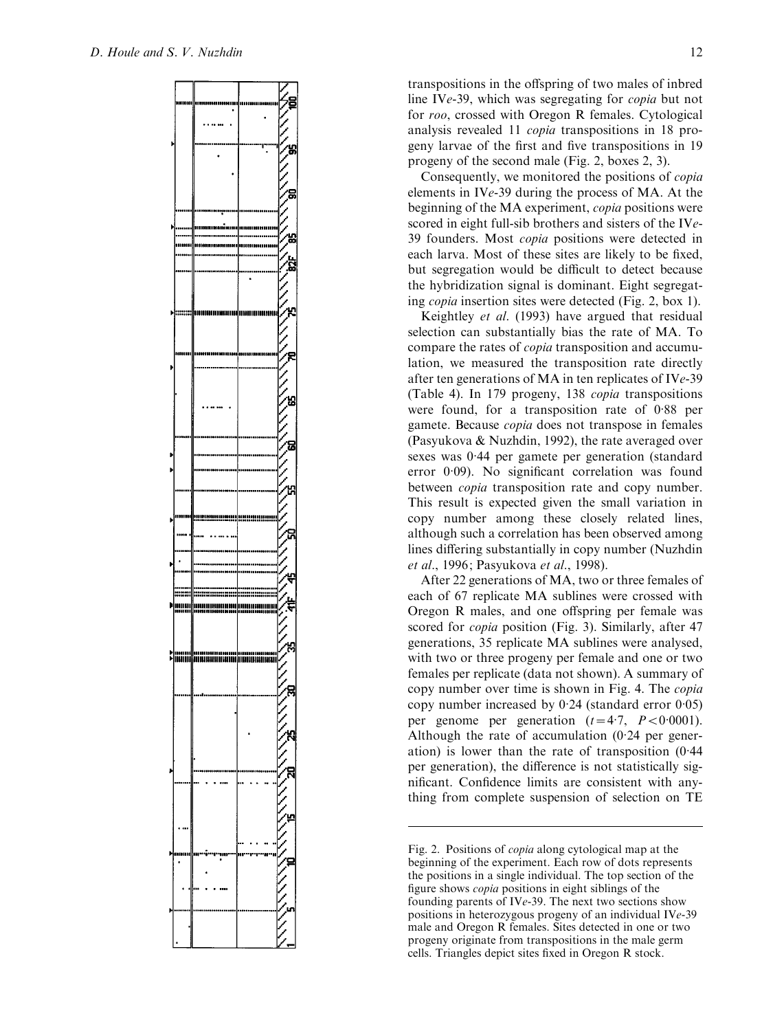

transpositions in the offspring of two males of inbred line IVe-39, which was segregating for *copia* but not for roo, crossed with Oregon R females. Cytological analysis revealed 11 copia transpositions in 18 progeny larvae of the first and five transpositions in 19 progeny of the second male (Fig. 2, boxes 2, 3).

Consequently, we monitored the positions of copia elements in IV e-39 during the process of MA. At the beginning of the MA experiment, copia positions were scored in eight full-sib brothers and sisters of the IVe-39 founders. Most copia positions were detected in each larva. Most of these sites are likely to be fixed, but segregation would be difficult to detect because the hybridization signal is dominant. Eight segregating copia insertion sites were detected (Fig. 2, box 1).

Keightley et al. (1993) have argued that residual selection can substantially bias the rate of MA. To compare the rates of copia transposition and accumulation, we measured the transposition rate directly after ten generations of MA in ten replicates of IV e-39 (Table 4). In 179 progeny, 138 copia transpositions were found, for a transposition rate of 0.88 per gamete. Because copia does not transpose in females (Pasyukova & Nuzhdin, 1992), the rate averaged over sexes was 0 . 44 per gamete per generation (standard error 0.09). No significant correlation was found between copia transposition rate and copy number. This result is expected given the small variation in copy number among these closely related lines, although such a correlation has been observed among lines differing substantially in copy number (Nuzhdin et al., 1996; Pasyukova et al., 1998).

After 22 generations of MA, two or three females of each of 67 replicate MA sublines were crossed with Oregon R males, and one offspring per female was scored for *copia* position (Fig. 3). Similarly, after 47 generations, 35 replicate MA sublines were analysed, with two or three progeny per female and one or two females per replicate (data not shown). A summary of copy number over time is shown in Fig. 4. The copia copy number increased by  $0.24$  (standard error  $0.05$ ) per genome per generation  $(t=4.7, P<0.0001)$ . Although the rate of accumulation (0 . 24 per generation) is lower than the rate of transposition (0. 44 per generation), the difference is not statistically significant. Confidence limits are consistent with anything from complete suspension of selection on TE

Fig. 2. Positions of copia along cytological map at the beginning of the experiment. Each row of dots represents the positions in a single individual. The top section of the figure shows copia positions in eight siblings of the founding parents of IV e-39. The next two sections show positions in heterozygous progeny of an individual IV e-39 male and Oregon R females. Sites detected in one or two progeny originate from transpositions in the male germ cells. Triangles depict sites fixed in Oregon R stock.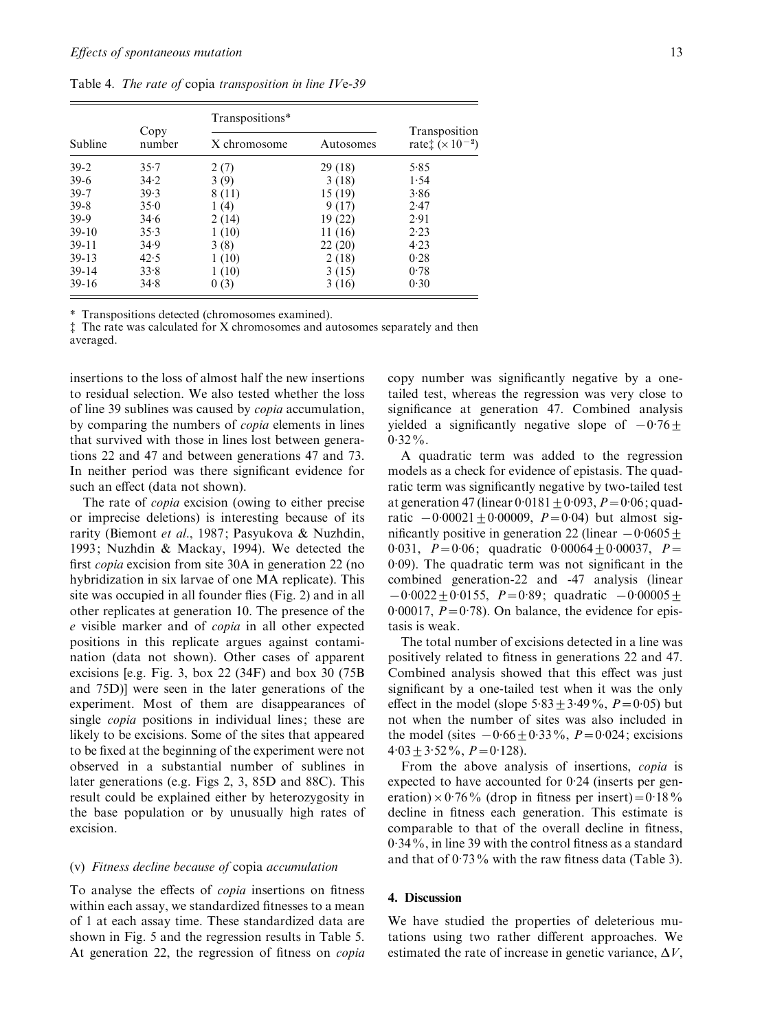Table 4. The rate of copia transposition in line IVe-39

|          | Copy<br>number | Transpositions* |           |                                      |
|----------|----------------|-----------------|-----------|--------------------------------------|
| Subline  |                | X chromosome    | Autosomes | Transposition<br>rate: $(x 10^{-2})$ |
| $39-2$   | $35 - 7$       | 2(7)            | 29 (18)   | 5.85                                 |
| $39-6$   | 34.2           | 3(9)            | 3(18)     | 1.54                                 |
| $39 - 7$ | 39.3           | 8 (11)          | 15 (19)   | 3.86                                 |
| $39 - 8$ | 35.0           | 1(4)            | 9(17)     | 2.47                                 |
| 39-9     | 34.6           | 2(14)           | 19(22)    | 2.91                                 |
| $39-10$  | 35.3           | 1(10)           | 11 (16)   | 2.23                                 |
| $39-11$  | 34.9           | 3(8)            | 22(20)    | 4.23                                 |
| $39-13$  | 42.5           | 1(10)           | 2(18)     | 0.28                                 |
| $39-14$  | 33.8           | 1(10)           | 3(15)     | 0.78                                 |
| $39-16$  | 34.8           | 0(3)            | 3(16)     | 0.30                                 |

Transpositions detected (chromosomes examined).

 $\ddagger$  The rate was calculated for X chromosomes and autosomes separately and then averaged.

insertions to the loss of almost half the new insertions to residual selection. We also tested whether the loss of line 39 sublines was caused by copia accumulation, by comparing the numbers of copia elements in lines that survived with those in lines lost between generations 22 and 47 and between generations 47 and 73. In neither period was there significant evidence for such an effect (data not shown).

The rate of *copia* excision (owing to either precise or imprecise deletions) is interesting because of its rarity (Biemont et al., 1987; Pasyukova & Nuzhdin, 1993; Nuzhdin & Mackay, 1994). We detected the first copia excision from site 30A in generation 22 (no hybridization in six larvae of one MA replicate). This site was occupied in all founder flies (Fig. 2) and in all other replicates at generation 10. The presence of the e visible marker and of copia in all other expected positions in this replicate argues against contamination (data not shown). Other cases of apparent excisions [e.g. Fig. 3, box 22 (34F) and box 30 (75B and 75D)] were seen in the later generations of the experiment. Most of them are disappearances of single copia positions in individual lines; these are likely to be excisions. Some of the sites that appeared to be fixed at the beginning of the experiment were not observed in a substantial number of sublines in later generations (e.g. Figs 2, 3, 85D and 88C). This result could be explained either by heterozygosity in the base population or by unusually high rates of excision.

#### (v) Fitness decline because of copia accumulation

To analyse the effects of copia insertions on fitness within each assay, we standardized fitnesses to a mean of 1 at each assay time. These standardized data are shown in Fig. 5 and the regression results in Table 5. At generation 22, the regression of fitness on copia

copy number was significantly negative by a onetailed test, whereas the regression was very close to significance at generation 47. Combined analysis yielded a significantly negative slope of  $-0.76 \pm$  $0.32\%$ .

A quadratic term was added to the regression models as a check for evidence of epistasis. The quadratic term was significantly negative by two-tailed test at generation 47 (linear  $0.0181 + 0.093$ ,  $P = 0.06$ ; quadratic  $-0.00021 \pm 0.00009$ ,  $P=0.04$ ) but almost significantly positive in generation 22 (linear  $-0.0605 \pm$ 0.031,  $P=0.06$ ; quadratic  $0.00064 \pm 0.00037$ ,  $P=$ 0.09). The quadratic term was not significant in the combined generation-22 and -47 analysis (linear  $-0.0022 \pm 0.0155$ ,  $P = 0.89$ ; quadratic  $-0.00005 \pm 0.00005$ 0.00017,  $\overline{P} = 0.78$ ). On balance, the evidence for epistasis is weak.

The total number of excisions detected in a line was positively related to fitness in generations 22 and 47. Combined analysis showed that this effect was just significant by a one-tailed test when it was the only effect in the model (slope  $5.83 \pm 3.49\%$ ,  $P = 0.05$ ) but not when the number of sites was also included in the model (sites  $-0.66 \pm 0.33\%$ ,  $P=0.024$ ; excisions  $4.03 \pm 3.52\%$ ,  $P = 0.128$ ).

From the above analysis of insertions, copia is expected to have accounted for 0.24 (inserts per generation) × 0.76% (drop in fitness per insert) =  $0.18\%$ decline in fitness each generation. This estimate is comparable to that of the overall decline in fitness, 0. 34%, in line 39 with the control fitness as a standard and that of 0.73% with the raw fitness data (Table 3).

## 4. Discussion

We have studied the properties of deleterious mutations using two rather different approaches. We estimated the rate of increase in genetic variance,  $\Delta V$ ,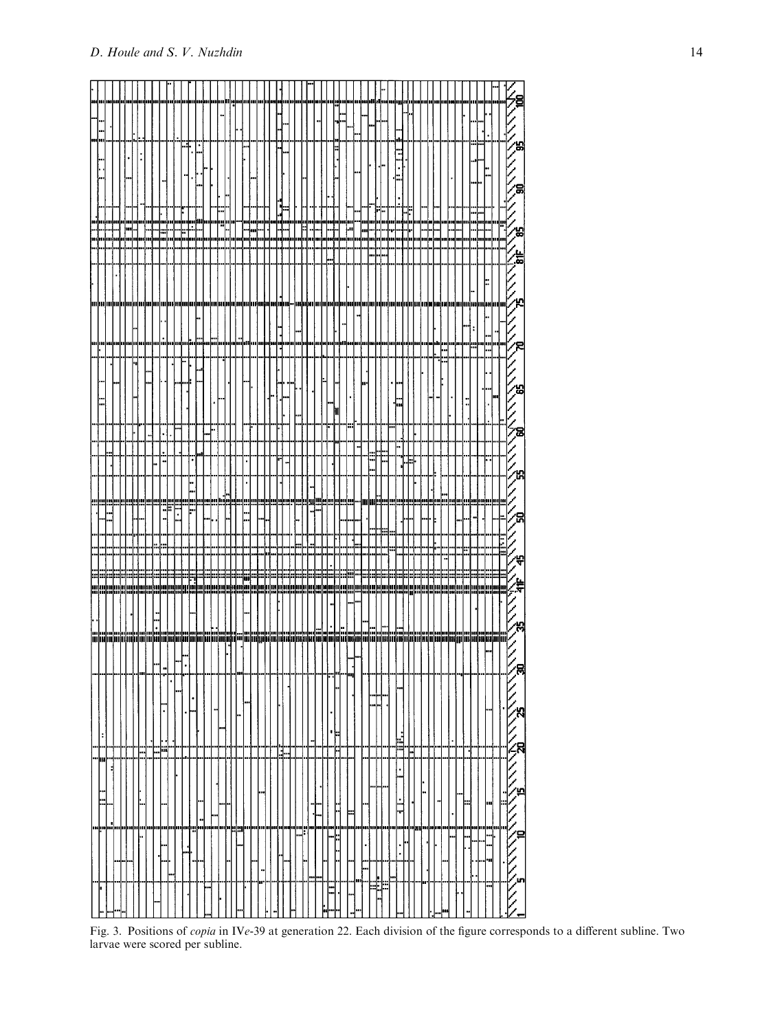

Fig. 3. Positions of copia in IVe-39 at generation 22. Each division of the figure corresponds to a different subline. Two larvae were scored per subline.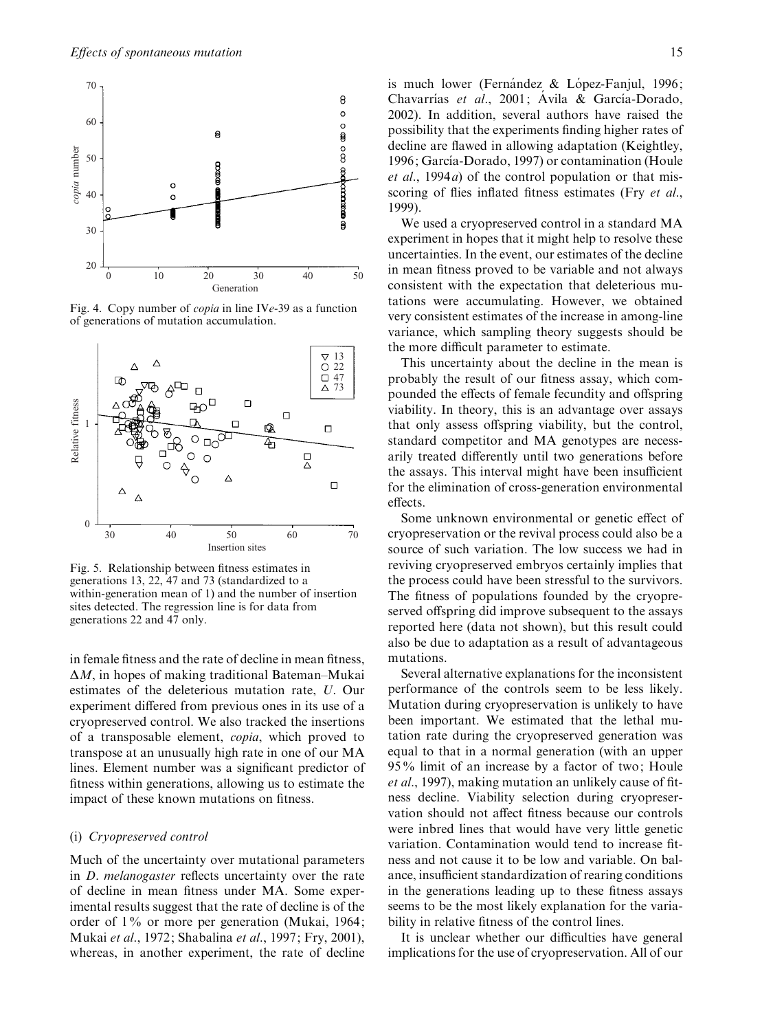

Fig. 4. Copy number of copia in line IVe-39 as a function of generations of mutation accumulation.



Fig. 5. Relationship between fitness estimates in generations 13, 22, 47 and 73 (standardized to a within-generation mean of 1) and the number of insertion sites detected. The regression line is for data from generations 22 and 47 only.

in female fitness and the rate of decline in mean fitness,  $\Delta M$ , in hopes of making traditional Bateman–Mukai estimates of the deleterious mutation rate, U. Our experiment differed from previous ones in its use of a cryopreserved control. We also tracked the insertions of a transposable element, copia, which proved to transpose at an unusually high rate in one of our MA lines. Element number was a significant predictor of fitness within generations, allowing us to estimate the impact of these known mutations on fitness.

#### (i) Cryopreserved control

Much of the uncertainty over mutational parameters in D. melanogaster reflects uncertainty over the rate of decline in mean fitness under MA. Some experimental results suggest that the rate of decline is of the order of 1% or more per generation (Mukai, 1964; Mukai et al., 1972; Shabalina et al., 1997; Fry, 2001), whereas, in another experiment, the rate of decline is much lower (Fernandez  $& L$ onez-Fanjul, 1996; Chavarrías et al., 2001; Ávila & García-Dorado, 2002). In addition, several authors have raised the possibility that the experiments finding higher rates of decline are flawed in allowing adaptation (Keightley, 1996; García-Dorado, 1997) or contamination (Houle *et al.*, 1994*a*) of the control population or that misscoring of flies inflated fitness estimates (Fry et al., 1999).

We used a cryopreserved control in a standard MA experiment in hopes that it might help to resolve these uncertainties. In the event, our estimates of the decline in mean fitness proved to be variable and not always consistent with the expectation that deleterious mutations were accumulating. However, we obtained very consistent estimates of the increase in among-line variance, which sampling theory suggests should be the more difficult parameter to estimate.

This uncertainty about the decline in the mean is probably the result of our fitness assay, which compounded the effects of female fecundity and offspring viability. In theory, this is an advantage over assays that only assess offspring viability, but the control, standard competitor and MA genotypes are necessarily treated differently until two generations before the assays. This interval might have been insufficient for the elimination of cross-generation environmental effects.

Some unknown environmental or genetic effect of cryopreservation or the revival process could also be a source of such variation. The low success we had in reviving cryopreserved embryos certainly implies that the process could have been stressful to the survivors. The fitness of populations founded by the cryopreserved offspring did improve subsequent to the assays reported here (data not shown), but this result could also be due to adaptation as a result of advantageous mutations.

Several alternative explanations for the inconsistent performance of the controls seem to be less likely. Mutation during cryopreservation is unlikely to have been important. We estimated that the lethal mutation rate during the cryopreserved generation was equal to that in a normal generation (with an upper 95% limit of an increase by a factor of two; Houle et al., 1997), making mutation an unlikely cause of fitness decline. Viability selection during cryopreservation should not affect fitness because our controls were inbred lines that would have very little genetic variation. Contamination would tend to increase fitness and not cause it to be low and variable. On balance, insufficient standardization of rearing conditions in the generations leading up to these fitness assays seems to be the most likely explanation for the variability in relative fitness of the control lines.

It is unclear whether our difficulties have general implications for the use of cryopreservation. All of our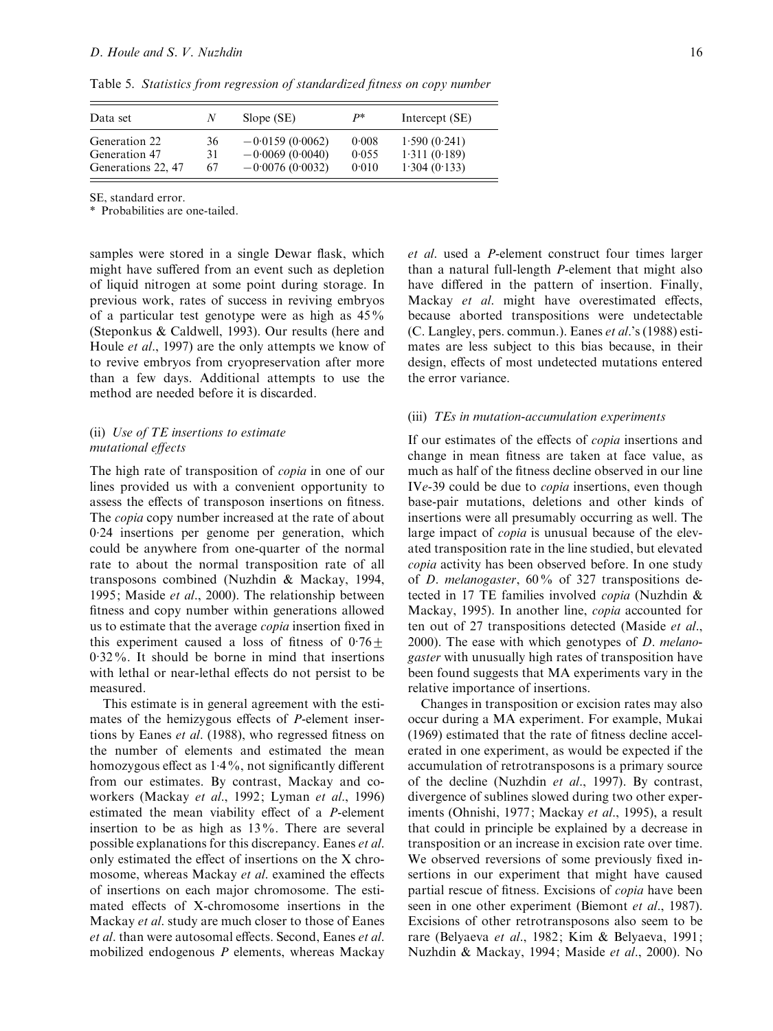| Data set           | N  | Slope (SE)        | p*    | Intercept (SE) |
|--------------------|----|-------------------|-------|----------------|
| Generation 22      | 36 | $-0.0159(0.0062)$ | 0.008 | 1.590(0.241)   |
| Generation 47      | 31 | $-0.0069(0.0040)$ | 0.055 | 1.311(0.189)   |
| Generations 22, 47 | 67 | $-0.0076(0.0032)$ | 0.010 | 1.304(0.133)   |

Table 5. Statistics from regression of standardized fitness on copy number

SE, standard error.

\* Probabilities are one-tailed.

samples were stored in a single Dewar flask, which might have suffered from an event such as depletion of liquid nitrogen at some point during storage. In previous work, rates of success in reviving embryos of a particular test genotype were as high as 45% (Steponkus & Caldwell, 1993). Our results (here and Houle et al., 1997) are the only attempts we know of to revive embryos from cryopreservation after more than a few days. Additional attempts to use the method are needed before it is discarded.

# (ii) Use of TE insertions to estimate mutational effects

The high rate of transposition of *copia* in one of our lines provided us with a convenient opportunity to assess the effects of transposon insertions on fitness. The copia copy number increased at the rate of about 0. 24 insertions per genome per generation, which could be anywhere from one-quarter of the normal rate to about the normal transposition rate of all transposons combined (Nuzhdin & Mackay, 1994, 1995; Maside et al., 2000). The relationship between fitness and copy number within generations allowed us to estimate that the average copia insertion fixed in this experiment caused a loss of fitness of  $0.76 \pm$ 0. 32%. It should be borne in mind that insertions with lethal or near-lethal effects do not persist to be measured.

This estimate is in general agreement with the estimates of the hemizygous effects of P-element insertions by Eanes et al. (1988), who regressed fitness on the number of elements and estimated the mean homozygous effect as 1. 4%, not significantly different from our estimates. By contrast, Mackay and coworkers (Mackay et al., 1992; Lyman et al., 1996) estimated the mean viability effect of a P-element insertion to be as high as 13%. There are several possible explanations for this discrepancy. Eanes et al. only estimated the effect of insertions on the X chromosome, whereas Mackay et al. examined the effects of insertions on each major chromosome. The estimated effects of X-chromosome insertions in the Mackay et al. study are much closer to those of Eanes et al. than were autosomal effects. Second, Eanes et al. mobilized endogenous P elements, whereas Mackay

et al. used a P-element construct four times larger than a natural full-length P-element that might also have differed in the pattern of insertion. Finally, Mackay et al. might have overestimated effects, because aborted transpositions were undetectable (C. Langley, pers. commun.). Eanes et al.'s (1988) estimates are less subject to this bias because, in their design, effects of most undetected mutations entered the error variance.

## (iii) TEs in mutation-accumulation experiments

If our estimates of the effects of copia insertions and change in mean fitness are taken at face value, as much as half of the fitness decline observed in our line IVe-39 could be due to copia insertions, even though base-pair mutations, deletions and other kinds of insertions were all presumably occurring as well. The large impact of copia is unusual because of the elevated transposition rate in the line studied, but elevated copia activity has been observed before. In one study of D. melanogaster,  $60\%$  of 327 transpositions detected in 17 TE families involved copia (Nuzhdin & Mackay, 1995). In another line, copia accounted for ten out of 27 transpositions detected (Maside et al., 2000). The ease with which genotypes of D. melanogaster with unusually high rates of transposition have been found suggests that MA experiments vary in the relative importance of insertions.

Changes in transposition or excision rates may also occur during a MA experiment. For example, Mukai (1969) estimated that the rate of fitness decline accelerated in one experiment, as would be expected if the accumulation of retrotransposons is a primary source of the decline (Nuzhdin et al., 1997). By contrast, divergence of sublines slowed during two other experiments (Ohnishi, 1977; Mackay et al., 1995), a result that could in principle be explained by a decrease in transposition or an increase in excision rate over time. We observed reversions of some previously fixed insertions in our experiment that might have caused partial rescue of fitness. Excisions of copia have been seen in one other experiment (Biemont et al., 1987). Excisions of other retrotransposons also seem to be rare (Belyaeva et al., 1982; Kim & Belyaeva, 1991; Nuzhdin & Mackay, 1994; Maside et al., 2000). No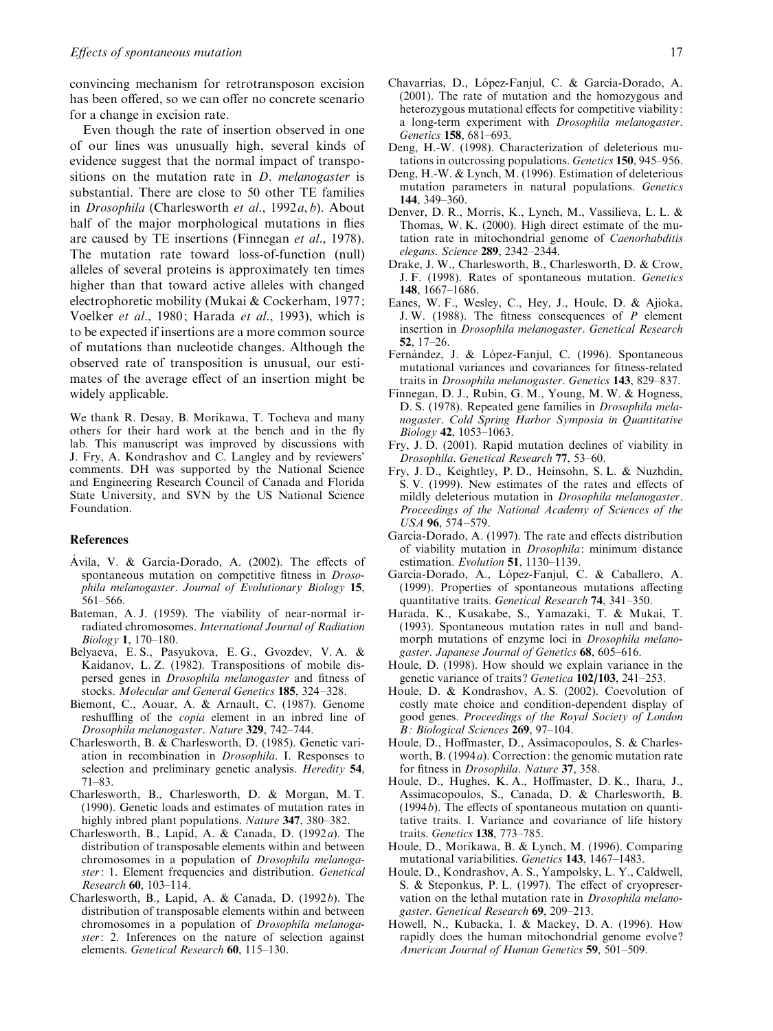convincing mechanism for retrotransposon excision has been offered, so we can offer no concrete scenario for a change in excision rate.

Even though the rate of insertion observed in one of our lines was unusually high, several kinds of evidence suggest that the normal impact of transpositions on the mutation rate in *D. melanogaster* is substantial. There are close to 50 other TE families in Drosophila (Charlesworth et al., 1992a, b). About half of the major morphological mutations in flies are caused by TE insertions (Finnegan et al., 1978). The mutation rate toward loss-of-function (null) alleles of several proteins is approximately ten times higher than that toward active alleles with changed electrophoretic mobility (Mukai & Cockerham, 1977; Voelker et al., 1980; Harada et al., 1993), which is to be expected if insertions are a more common source of mutations than nucleotide changes. Although the observed rate of transposition is unusual, our estimates of the average effect of an insertion might be widely applicable.

We thank R. Desay, B. Morikawa, T. Tocheva and many others for their hard work at the bench and in the fly lab. This manuscript was improved by discussions with J. Fry, A. Kondrashov and C. Langley and by reviewers' comments. DH was supported by the National Science and Engineering Research Council of Canada and Florida State University, and SVN by the US National Science Foundation.

## References

- Ávila, V. & García-Dorado, A. (2002). The effects of spontaneous mutation on competitive fitness in Drosophila melanogaster. Journal of Evolutionary Biology 15, 561–566.
- Bateman, A. J. (1959). The viability of near-normal irradiated chromosomes. International Journal of Radiation Biology 1, 170–180.
- Belyaeva, E. S., Pasyukova, E. G., Gvozdev, V. A. & Kaidanov, L. Z. (1982). Transpositions of mobile dispersed genes in Drosophila melanogaster and fitness of stocks. Molecular and General Genetics 185, 324 –328.
- Biemont, C., Aouar, A. & Arnault, C. (1987). Genome reshuffling of the copia element in an inbred line of Drosophila melanogaster. Nature 329, 742–744.
- Charlesworth, B. & Charlesworth, D. (1985). Genetic variation in recombination in Drosophila. I. Responses to selection and preliminary genetic analysis. Heredity 54, 71–83.
- Charlesworth, B., Charlesworth, D. & Morgan, M. T. (1990). Genetic loads and estimates of mutation rates in highly inbred plant populations. Nature 347, 380–382.
- Charlesworth, B., Lapid, A. & Canada, D. (1992a). The distribution of transposable elements within and between chromosomes in a population of Drosophila melanogaster: 1. Element frequencies and distribution. Genetical Research 60, 103–114.
- Charlesworth, B., Lapid, A. & Canada, D. (1992b). The distribution of transposable elements within and between chromosomes in a population of Drosophila melanogaster: 2. Inferences on the nature of selection against elements. Genetical Research 60, 115–130.
- Chavarrías, D., López-Fanjul, C. & García-Dorado, A. (2001). The rate of mutation and the homozygous and heterozygous mutational effects for competitive viability: a long-term experiment with Drosophila melanogaster. Genetics 158, 681–693.
- Deng, H.-W. (1998). Characterization of deleterious mutations in outcrossing populations. Genetics 150, 945–956.
- Deng, H.-W. & Lynch, M. (1996). Estimation of deleterious mutation parameters in natural populations. Genetics 144, 349–360.
- Denver, D. R., Morris, K., Lynch, M., Vassilieva, L. L. & Thomas, W. K. (2000). High direct estimate of the mutation rate in mitochondrial genome of Caenorhabditis elegans. Science 289, 2342–2344.
- Drake, J. W., Charlesworth, B., Charlesworth, D. & Crow, J. F. (1998). Rates of spontaneous mutation. Genetics 148, 1667–1686.
- Eanes, W. F., Wesley, C., Hey, J., Houle, D. & Ajioka, J. W. (1988). The fitness consequences of  $P$  element insertion in Drosophila melanogaster. Genetical Research 52, 17–26.
- Fernández, J. & López-Fanjul, C. (1996). Spontaneous mutational variances and covariances for fitness-related traits in Drosophila melanogaster. Genetics 143, 829–837.
- Finnegan, D. J., Rubin, G. M., Young, M. W. & Hogness, D. S. (1978). Repeated gene families in Drosophila melanogaster. Cold Spring Harbor Symposia in Quantitative Biology 42, 1053–1063.
- Fry, J. D. (2001). Rapid mutation declines of viability in Drosophila. Genetical Research 77, 53–60.
- Fry, J. D., Keightley, P. D., Heinsohn, S. L. & Nuzhdin, S. V. (1999). New estimates of the rates and effects of mildly deleterious mutation in Drosophila melanogaster. Proceedings of the National Academy of Sciences of the USA 96, 574-579.
- García-Dorado, A. (1997). The rate and effects distribution of viability mutation in Drosophila: minimum distance estimation. Evolution 51, 1130–1139.
- García-Dorado, A., López-Fanjul, C. & Caballero, A. (1999). Properties of spontaneous mutations affecting quantitative traits. Genetical Research 74, 341–350.
- Harada, K., Kusakabe, S., Yamazaki, T. & Mukai, T. (1993). Spontaneous mutation rates in null and bandmorph mutations of enzyme loci in Drosophila melanogaster. Japanese Journal of Genetics 68, 605–616.
- Houle, D. (1998). How should we explain variance in the genetic variance of traits? Genetica 102/103, 241-253.
- Houle, D. & Kondrashov, A. S. (2002). Coevolution of costly mate choice and condition-dependent display of good genes. Proceedings of the Royal Society of London B: Biological Sciences 269, 97-104.
- Houle, D., Hoffmaster, D., Assimacopoulos, S. & Charlesworth, B. (1994a). Correction: the genomic mutation rate for fitness in Drosophila. Nature 37, 358.
- Houle, D., Hughes, K. A., Hoffmaster, D. K., Ihara, J., Assimacopoulos, S., Canada, D. & Charlesworth, B.  $(1994b)$ . The effects of spontaneous mutation on quantitative traits. I. Variance and covariance of life history traits. Genetics 138, 773–785.
- Houle, D., Morikawa, B. & Lynch, M. (1996). Comparing mutational variabilities. Genetics 143, 1467–1483.
- Houle, D., Kondrashov, A. S., Yampolsky, L. Y., Caldwell, S. & Steponkus, P. L. (1997). The effect of cryopreservation on the lethal mutation rate in Drosophila melanogaster. Genetical Research 69, 209–213.
- Howell, N., Kubacka, I. & Mackey, D. A. (1996). How rapidly does the human mitochondrial genome evolve? American Journal of Human Genetics 59, 501–509.